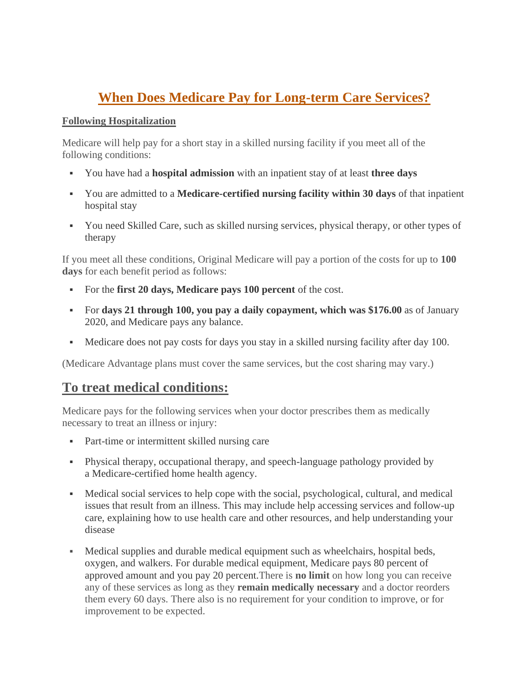# **When Does Medicare Pay for Long-term Care Services?**

## **Following Hospitalization**

Medicare will help pay for a short stay in a skilled nursing facility if you meet all of the following conditions:

- You have had a **hospital admission** with an inpatient stay of at least **three days**
- You are admitted to a **Medicare-certified nursing facility within 30 days** of that inpatient hospital stay
- You need Skilled Care, such as skilled nursing services, physical therapy, or other types of therapy

If you meet all these conditions, Original Medicare will pay a portion of the costs for up to **100 days** for each benefit period as follows:

- For the **first 20 days, Medicare pays 100 percent** of the cost.
- For **days 21 through 100, you pay a daily copayment, which was \$176.00** as of January 2020, and Medicare pays any balance.
- Medicare does not pay costs for days you stay in a skilled nursing facility after day 100.

(Medicare Advantage plans must cover the same services, but the cost sharing may vary.)

## **To treat medical conditions:**

Medicare pays for the following services when your doctor prescribes them as medically necessary to treat an illness or injury:

- Part-time or intermittent skilled nursing care
- Physical therapy, occupational therapy, and speech-language pathology provided by a Medicare-certified home health agency.
- Medical social services to help cope with the social, psychological, cultural, and medical issues that result from an illness. This may include help accessing services and follow-up care, explaining how to use health care and other resources, and help understanding your disease
- Medical supplies and durable medical equipment such as wheelchairs, hospital beds, oxygen, and walkers. For durable medical equipment, Medicare pays 80 percent of approved amount and you pay 20 percent.There is **no limit** on how long you can receive any of these services as long as they **remain medically necessary** and a doctor reorders them every 60 days. There also is no requirement for your condition to improve, or for improvement to be expected.